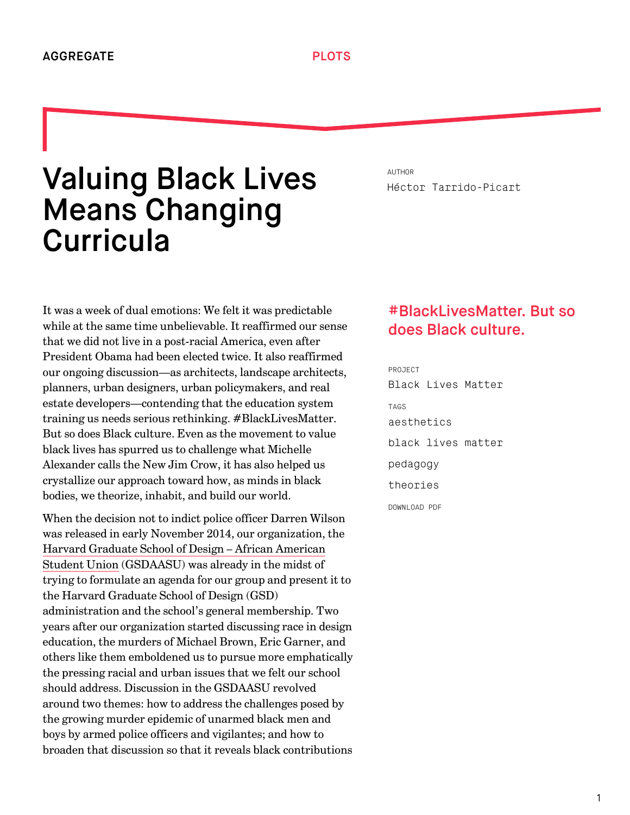## Valuing Black Lives Means Changing **Curricula**

It was a week of dual emotions: We felt it was predictable while at the same time unbelievable. It reaffirmed our sense that we did not live in a post-racial America, even after President Obama had been elected twice. It also reaffirmed our ongoing discussion—as architects, landscape architects, planners, urban designers, urban policymakers, and real estate developers—contending that the education system training us needs serious rethinking. #BlackLivesMatter. But so does Black culture. Even as the movement to value black lives has spurred us to challenge what Michelle Alexander calls the New Jim Crow, it has also helped us crystallize our approach toward how, as minds in black bodies, we theorize, inhabit, and build our world.

When the decision not to indict police officer Darren Wilson was released in early November 2014, our organization, the [Harvard Graduate School of Design – African American](http://gsdaasu.com/) Student Union (GSDAASU) was already in the midst of trying to formulate an agenda for our group and present it to the Harvard Graduate School of Design (GSD) administration and the school's general membership. Two years after our organization started discussing race in design education, the murders of Michael Brown, Eric Garner, and others like them emboldened us to pursue more emphatically the pressing racial and urban issues that we felt our school should address. Discussion in the GSDAASU revolved around two themes: how to address the challenges posed by the growing murder epidemic of unarmed black men and boys by armed police officers and vigilantes; and how to broaden that discussion so that it reveals black contributions

AUTHOR [Héctor Tarrido-Picart](http://we-aggregate.org/people/hctor-tarrido-picart)

## #BlackLivesMatter. But so does Black culture.

PROJECT [Black Lives Matter](http://we-aggregate.org/project/black-lives-matter) TAGS [aesthetics](http://we-aggregate.org/tag/aesthetics) [black lives matter](http://we-aggregate.org/tag/black-lives-matter) [pedagogy](http://we-aggregate.org/tag/pedagogy) [theories](http://we-aggregate.org/tag/theories) DOWNLOAD PDF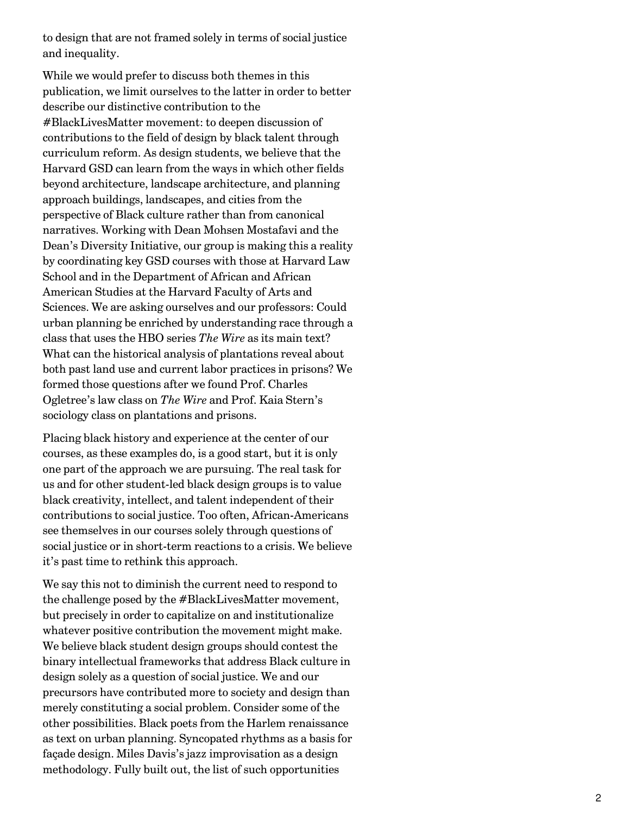to design that are not framed solely in terms of social justice and inequality.

While we would prefer to discuss both themes in this publication, we limit ourselves to the latter in order to better describe our distinctive contribution to the #BlackLivesMatter movement: to deepen discussion of contributions to the field of design by black talent through curriculum reform. As design students, we believe that the Harvard GSD can learn from the ways in which other fields beyond architecture, landscape architecture, and planning approach buildings, landscapes, and cities from the perspective of Black culture rather than from canonical narratives. Working with Dean Mohsen Mostafavi and the Dean's Diversity Initiative, our group is making this a reality by coordinating key GSD courses with those at Harvard Law School and in the Department of African and African American Studies at the Harvard Faculty of Arts and Sciences. We are asking ourselves and our professors: Could urban planning be enriched by understanding race through a class that uses the HBO series *The Wire* as its main text? What can the historical analysis of plantations reveal about both past land use and current labor practices in prisons? We formed those questions after we found Prof. Charles Ogletree's law class on *The Wire* and Prof. Kaia Stern's sociology class on plantations and prisons.

Placing black history and experience at the center of our courses, as these examples do, is a good start, but it is only one part of the approach we are pursuing. The real task for us and for other student-led black design groups is to value black creativity, intellect, and talent independent of their contributions to social justice. Too often, African-Americans see themselves in our courses solely through questions of social justice or in short-term reactions to a crisis. We believe it's past time to rethink this approach.

We say this not to diminish the current need to respond to the challenge posed by the #BlackLivesMatter movement, but precisely in order to capitalize on and institutionalize whatever positive contribution the movement might make. We believe black student design groups should contest the binary intellectual frameworks that address Black culture in design solely as a question of social justice. We and our precursors have contributed more to society and design than merely constituting a social problem. Consider some of the other possibilities. Black poets from the Harlem renaissance as text on urban planning. Syncopated rhythms as a basis for façade design. Miles Davis's jazz improvisation as a design methodology. Fully built out, the list of such opportunities